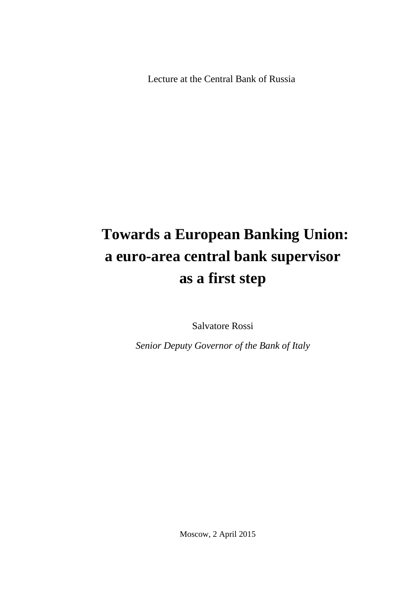Lecture at the Central Bank of Russia

### **Towards a European Banking Union: a euro-area central bank supervisor as a first step**

Salvatore Rossi

*Senior Deputy Governor of the Bank of Italy*

Moscow, 2 April 2015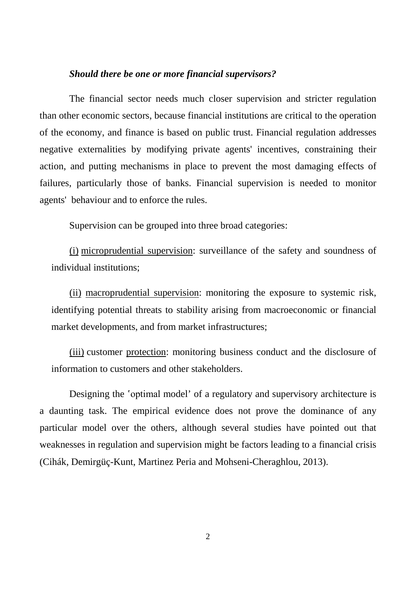#### *Should there be one or more financial supervisors?*

The financial sector needs much closer supervision and stricter regulation than other economic sectors, because financial institutions are critical to the operation of the economy, and finance is based on public trust. Financial regulation addresses negative externalities by modifying private agents' incentives, constraining their action, and putting mechanisms in place to prevent the most damaging effects of failures, particularly those of banks. Financial supervision is needed to monitor agents' behaviour and to enforce the rules.

Supervision can be grouped into three broad categories:

(i) microprudential supervision: surveillance of the safety and soundness of individual institutions;

(ii) macroprudential supervision: monitoring the exposure to systemic risk, identifying potential threats to stability arising from macroeconomic or financial market developments, and from market infrastructures;

(iii) customer protection: monitoring business conduct and the disclosure of information to customers and other stakeholders.

Designing the 'optimal model' of a regulatory and supervisory architecture is a daunting task. The empirical evidence does not prove the dominance of any particular model over the others, although several studies have pointed out that weaknesses in regulation and supervision might be factors leading to a financial crisis (Cihák, Demirgüç-Kunt, Martinez Peria and Mohseni-Cheraghlou, 2013).

2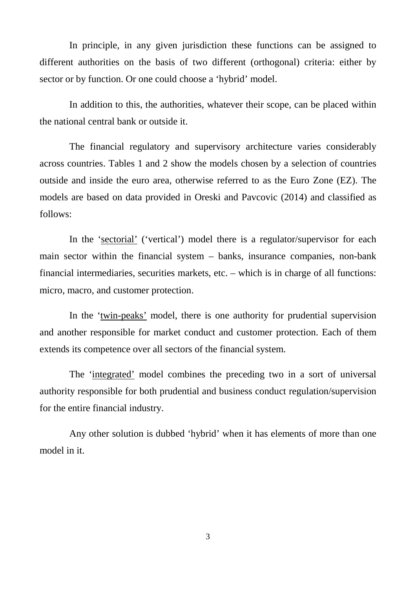In principle, in any given jurisdiction these functions can be assigned to different authorities on the basis of two different (orthogonal) criteria: either by sector or by function. Or one could choose a 'hybrid' model.

In addition to this, the authorities, whatever their scope, can be placed within the national central bank or outside it.

The financial regulatory and supervisory architecture varies considerably across countries. Tables 1 and 2 show the models chosen by a selection of countries outside and inside the euro area, otherwise referred to as the Euro Zone (EZ). The models are based on data provided in Oreski and Pavcovic (2014) and classified as follows:

In the 'sectorial' ('vertical') model there is a regulator/supervisor for each main sector within the financial system – banks, insurance companies, non-bank financial intermediaries, securities markets, etc. – which is in charge of all functions: micro, macro, and customer protection.

In the 'twin-peaks' model, there is one authority for prudential supervision and another responsible for market conduct and customer protection. Each of them extends its competence over all sectors of the financial system.

The 'integrated' model combines the preceding two in a sort of universal authority responsible for both prudential and business conduct regulation/supervision for the entire financial industry.

Any other solution is dubbed 'hybrid' when it has elements of more than one model in it.

3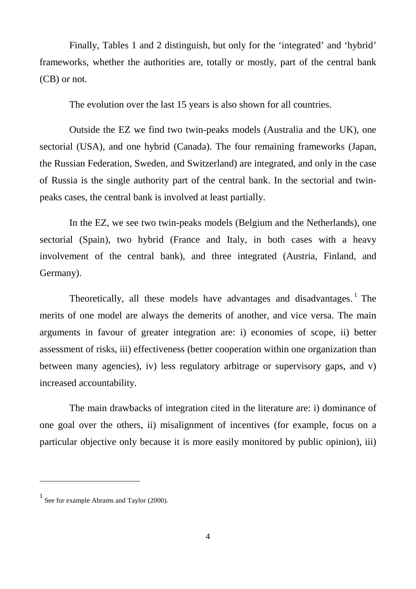Finally, Tables 1 and 2 distinguish, but only for the 'integrated' and 'hybrid' frameworks, whether the authorities are, totally or mostly, part of the central bank (CB) or not.

The evolution over the last 15 years is also shown for all countries.

Outside the EZ we find two twin-peaks models (Australia and the UK), one sectorial (USA), and one hybrid (Canada). The four remaining frameworks (Japan, the Russian Federation, Sweden, and Switzerland) are integrated, and only in the case of Russia is the single authority part of the central bank. In the sectorial and twinpeaks cases, the central bank is involved at least partially.

In the EZ, we see two twin-peaks models (Belgium and the Netherlands), one sectorial (Spain), two hybrid (France and Italy, in both cases with a heavy involvement of the central bank), and three integrated (Austria, Finland, and Germany).

Theoretically, all these models have advantages and disadvantages.<sup>[1](#page-3-0)</sup> The merits of one model are always the demerits of another, and vice versa. The main arguments in favour of greater integration are: i) economies of scope, ii) better assessment of risks, iii) effectiveness (better cooperation within one organization than between many agencies), iv) less regulatory arbitrage or supervisory gaps, and v) increased accountability.

The main drawbacks of integration cited in the literature are: i) dominance of one goal over the others, ii) misalignment of incentives (for example, focus on a particular objective only because it is more easily monitored by public opinion), iii)

<span id="page-3-0"></span> $\frac{1}{1}$  See for example Abrams and Taylor (2000).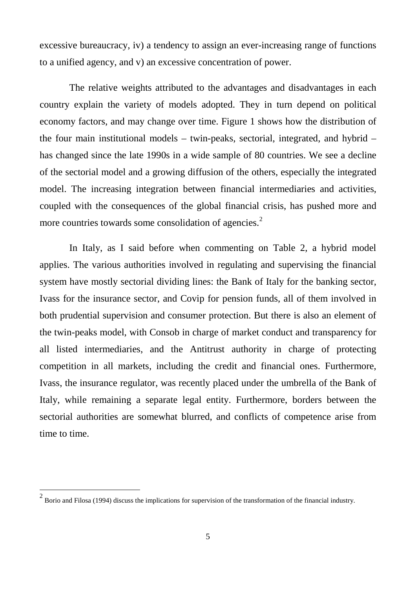excessive bureaucracy, iv) a tendency to assign an ever-increasing range of functions to a unified agency, and v) an excessive concentration of power.

The relative weights attributed to the advantages and disadvantages in each country explain the variety of models adopted. They in turn depend on political economy factors, and may change over time. Figure 1 shows how the distribution of the four main institutional models – twin-peaks, sectorial, integrated, and hybrid – has changed since the late 1990s in a wide sample of 80 countries. We see a decline of the sectorial model and a growing diffusion of the others, especially the integrated model. The increasing integration between financial intermediaries and activities, coupled with the consequences of the global financial crisis, has pushed more and more countries towards some consolidation of agencies.<sup>[2](#page-4-0)</sup>

In Italy, as I said before when commenting on Table 2, a hybrid model applies. The various authorities involved in regulating and supervising the financial system have mostly sectorial dividing lines: the Bank of Italy for the banking sector, Ivass for the insurance sector, and Covip for pension funds, all of them involved in both prudential supervision and consumer protection. But there is also an element of the twin-peaks model, with Consob in charge of market conduct and transparency for all listed intermediaries, and the Antitrust authority in charge of protecting competition in all markets, including the credit and financial ones. Furthermore, Ivass, the insurance regulator, was recently placed under the umbrella of the Bank of Italy, while remaining a separate legal entity. Furthermore, borders between the sectorial authorities are somewhat blurred, and conflicts of competence arise from time to time.

<span id="page-4-0"></span> $2$  Borio and Filosa (1994) discuss the implications for supervision of the transformation of the financial industry.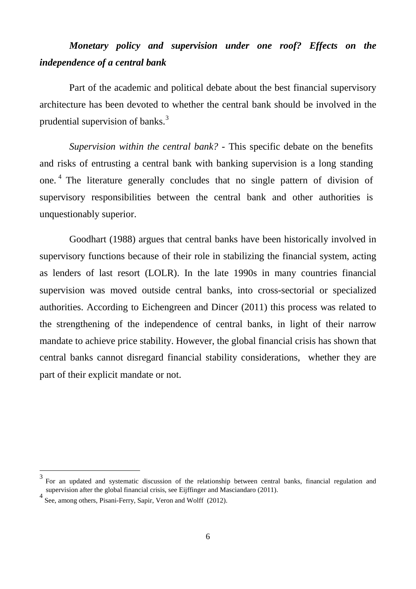### *Monetary policy and supervision under one roof? Effects on the independence of a central bank*

Part of the academic and political debate about the best financial supervisory architecture has been devoted to whether the central bank should be involved in the prudential supervision of banks.<sup>[3](#page-5-0)</sup>

*Supervision within the central bank? -* This specific debate on the benefits and risks of entrusting a central bank with banking supervision is a long standing one. [4](#page-5-1) The literature generally concludes that no single pattern of division of supervisory responsibilities between the central bank and other authorities is unquestionably superior.

Goodhart (1988) argues that central banks have been historically involved in supervisory functions because of their role in stabilizing the financial system, acting as lenders of last resort (LOLR). In the late 1990s in many countries financial supervision was moved outside central banks, into cross-sectorial or specialized authorities. According to Eichengreen and Dincer (2011) this process was related to the strengthening of the independence of central banks, in light of their narrow mandate to achieve price stability. However, the global financial crisis has shown that central banks cannot disregard financial stability considerations, whether they are part of their explicit mandate or not.

<span id="page-5-0"></span><sup>3</sup> For an updated and systematic discussion of the relationship between central banks, financial regulation and supervision after the global financial crisis, see Eijffinger and Masciandaro (2011).

<span id="page-5-1"></span><sup>4</sup> See, among others, Pisani-Ferry, Sapir, Veron and Wolff (2012).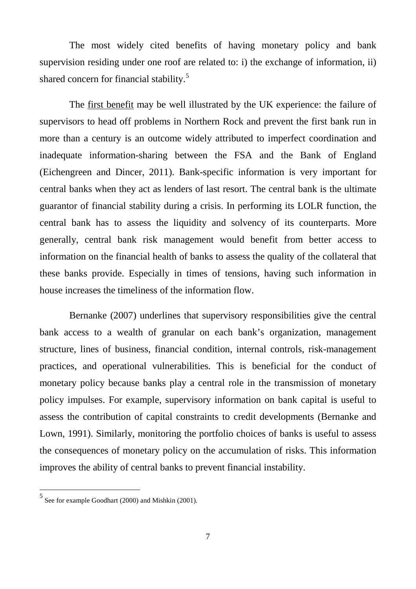The most widely cited benefits of having monetary policy and bank supervision residing under one roof are related to: i) the exchange of information, ii) shared concern for financial stability.<sup>[5](#page-6-0)</sup>

The first benefit may be well illustrated by the UK experience: the failure of supervisors to head off problems in Northern Rock and prevent the first bank run in more than a century is an outcome widely attributed to imperfect coordination and inadequate information-sharing between the FSA and the Bank of England (Eichengreen and Dincer, 2011). Bank-specific information is very important for central banks when they act as lenders of last resort. The central bank is the ultimate guarantor of financial stability during a crisis. In performing its LOLR function, the central bank has to assess the liquidity and solvency of its counterparts. More generally, central bank risk management would benefit from better access to information on the financial health of banks to assess the quality of the collateral that these banks provide. Especially in times of tensions, having such information in house increases the timeliness of the information flow.

Bernanke (2007) underlines that supervisory responsibilities give the central bank access to a wealth of granular on each bank's organization, management structure, lines of business, financial condition, internal controls, risk-management practices, and operational vulnerabilities. This is beneficial for the conduct of monetary policy because banks play a central role in the transmission of monetary policy impulses. For example, supervisory information on bank capital is useful to assess the contribution of capital constraints to credit developments (Bernanke and Lown, 1991). Similarly, monitoring the portfolio choices of banks is useful to assess the consequences of monetary policy on the accumulation of risks. This information improves the ability of central banks to prevent financial instability.

<span id="page-6-0"></span><sup>5</sup> See for example Goodhart (2000) and Mishkin (2001).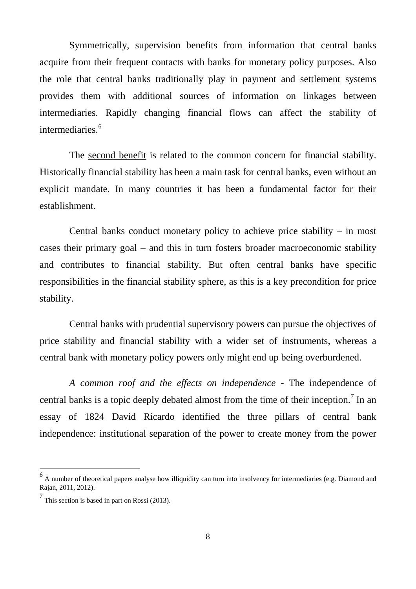Symmetrically, supervision benefits from information that central banks acquire from their frequent contacts with banks for monetary policy purposes. Also the role that central banks traditionally play in payment and settlement systems provides them with additional sources of information on linkages between intermediaries. Rapidly changing financial flows can affect the stability of intermediaries.<sup>[6](#page-7-0)</sup>

The second benefit is related to the common concern for financial stability. Historically financial stability has been a main task for central banks, even without an explicit mandate. In many countries it has been a fundamental factor for their establishment.

Central banks conduct monetary policy to achieve price stability – in most cases their primary goal – and this in turn fosters broader macroeconomic stability and contributes to financial stability. But often central banks have specific responsibilities in the financial stability sphere, as this is a key precondition for price stability.

Central banks with prudential supervisory powers can pursue the objectives of price stability and financial stability with a wider set of instruments, whereas a central bank with monetary policy powers only might end up being overburdened.

*A common roof and the effects on independence -* The independence of central banks is a topic deeply debated almost from the time of their inception.<sup>[7](#page-7-1)</sup> In an essay of 1824 David Ricardo identified the three pillars of central bank independence: institutional separation of the power to create money from the power

<span id="page-7-0"></span> $<sup>6</sup>$  A number of theoretical papers analyse how illiquidity can turn into insolvency for intermediaries (e.g. Diamond and</sup> Rajan, 2011, 2012).

<span id="page-7-1"></span> $\frac{7}{1}$  This section is based in part on Rossi (2013).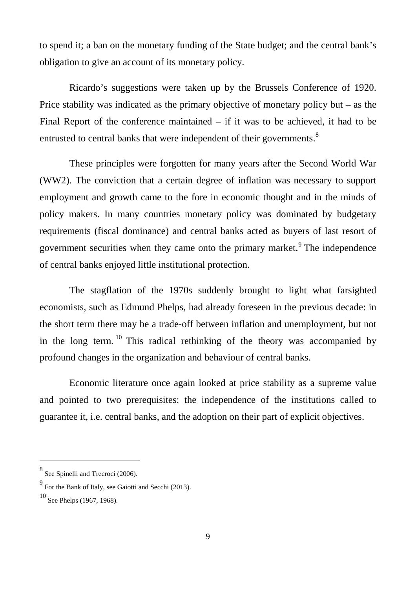to spend it; a ban on the monetary funding of the State budget; and the central bank's obligation to give an account of its monetary policy.

Ricardo's suggestions were taken up by the Brussels Conference of 1920. Price stability was indicated as the primary objective of monetary policy but – as the Final Report of the conference maintained – if it was to be achieved, it had to be entrusted to central banks that were independent of their governments.<sup>[8](#page-8-0)</sup>

These principles were forgotten for many years after the Second World War (WW2). The conviction that a certain degree of inflation was necessary to support employment and growth came to the fore in economic thought and in the minds of policy makers. In many countries monetary policy was dominated by budgetary requirements (fiscal dominance) and central banks acted as buyers of last resort of government securities when they came onto the primary market. $9$  The independence of central banks enjoyed little institutional protection.

The stagflation of the 1970s suddenly brought to light what farsighted economists, such as Edmund Phelps, had already foreseen in the previous decade: in the short term there may be a trade-off between inflation and unemployment, but not in the long term. <sup>[10](#page-8-2)</sup> This radical rethinking of the theory was accompanied by profound changes in the organization and behaviour of central banks.

Economic literature once again looked at price stability as a supreme value and pointed to two prerequisites: the independence of the institutions called to guarantee it, i.e. central banks, and the adoption on their part of explicit objectives.

<span id="page-8-0"></span><sup>8</sup> See Spinelli and Trecroci (2006).

<span id="page-8-1"></span><sup>9</sup> For the Bank of Italy, see Gaiotti and Secchi (2013).

<span id="page-8-2"></span> $10$  See Phelps (1967, 1968).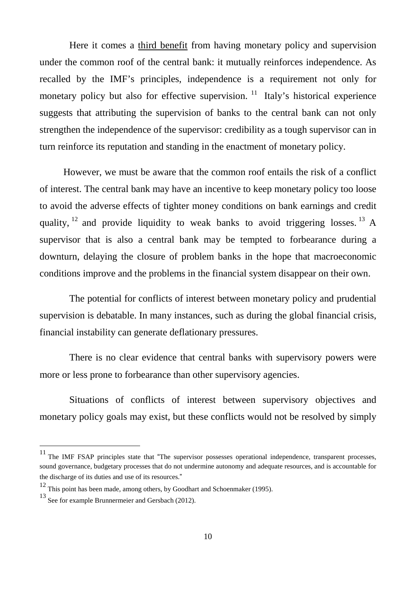Here it comes a third benefit from having monetary policy and supervision under the common roof of the central bank: it mutually reinforces independence. As recalled by the IMF's principles, independence is a requirement not only for monetary policy but also for effective supervision.<sup>[11](#page-9-0)</sup> Italy's historical experience suggests that attributing the supervision of banks to the central bank can not only strengthen the independence of the supervisor: credibility as a tough supervisor can in turn reinforce its reputation and standing in the enactment of monetary policy.

However, we must be aware that the common roof entails the risk of a conflict of interest. The central bank may have an incentive to keep monetary policy too loose to avoid the adverse effects of tighter money conditions on bank earnings and credit quality,  $^{12}$  $^{12}$  $^{12}$  and provide liquidity to weak banks to avoid triggering losses. <sup>[13](#page-9-2)</sup> A supervisor that is also a central bank may be tempted to forbearance during a downturn, delaying the closure of problem banks in the hope that macroeconomic conditions improve and the problems in the financial system disappear on their own.

The potential for conflicts of interest between monetary policy and prudential supervision is debatable. In many instances, such as during the global financial crisis, financial instability can generate deflationary pressures.

There is no clear evidence that central banks with supervisory powers were more or less prone to forbearance than other supervisory agencies.

Situations of conflicts of interest between supervisory objectives and monetary policy goals may exist, but these conflicts would not be resolved by simply

<span id="page-9-0"></span><sup>&</sup>lt;sup>11</sup> The IMF FSAP principles state that "The supervisor possesses operational independence, transparent processes, sound governance, budgetary processes that do not undermine autonomy and adequate resources, and is accountable for the discharge of its duties and use of its resources."

<span id="page-9-1"></span><sup>12</sup> This point has been made, among others, by Goodhart and Schoenmaker (1995).

<span id="page-9-2"></span><sup>13</sup> See for example Brunnermeier and Gersbach (2012).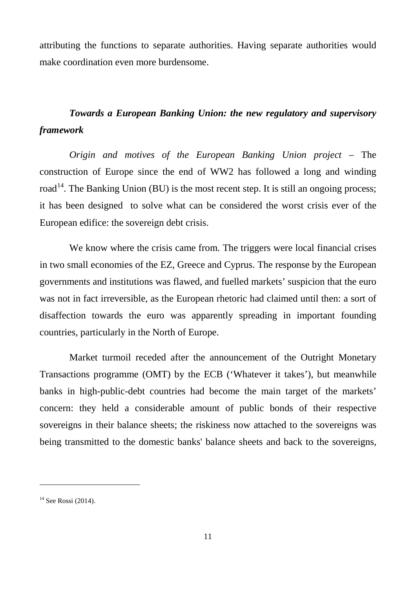attributing the functions to separate authorities. Having separate authorities would make coordination even more burdensome.

### *Towards a European Banking Union: the new regulatory and supervisory framework*

*Origin and motives of the European Banking Union project –* The construction of Europe since the end of WW2 has followed a long and winding road<sup>[14](#page-10-0)</sup>. The Banking Union (BU) is the most recent step. It is still an ongoing process; it has been designed to solve what can be considered the worst crisis ever of the European edifice: the sovereign debt crisis.

We know where the crisis came from. The triggers were local financial crises in two small economies of the EZ, Greece and Cyprus. The response by the European governments and institutions was flawed, and fuelled markets' suspicion that the euro was not in fact irreversible, as the European rhetoric had claimed until then: a sort of disaffection towards the euro was apparently spreading in important founding countries, particularly in the North of Europe.

Market turmoil receded after the announcement of the Outright Monetary Transactions programme (OMT) by the ECB ('Whatever it takes'), but meanwhile banks in high-public-debt countries had become the main target of the markets' concern: they held a considerable amount of public bonds of their respective sovereigns in their balance sheets; the riskiness now attached to the sovereigns was being transmitted to the domestic banks' balance sheets and back to the sovereigns,

<span id="page-10-0"></span> $14$  See Rossi (2014).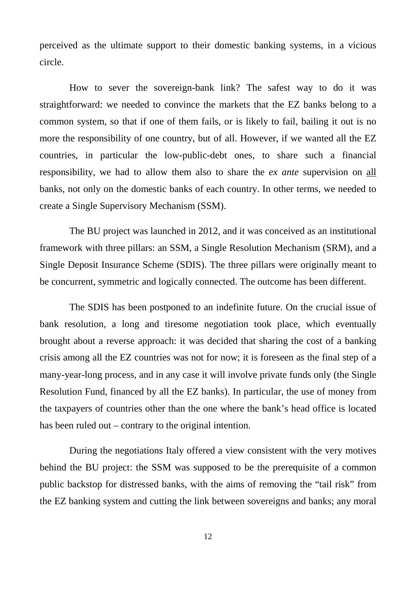perceived as the ultimate support to their domestic banking systems, in a vicious circle.

How to sever the sovereign-bank link? The safest way to do it was straightforward: we needed to convince the markets that the EZ banks belong to a common system, so that if one of them fails, or is likely to fail, bailing it out is no more the responsibility of one country, but of all. However, if we wanted all the EZ countries, in particular the low-public-debt ones, to share such a financial responsibility, we had to allow them also to share the *ex ante* supervision on all banks, not only on the domestic banks of each country. In other terms, we needed to create a Single Supervisory Mechanism (SSM).

The BU project was launched in 2012, and it was conceived as an institutional framework with three pillars: an SSM, a Single Resolution Mechanism (SRM), and a Single Deposit Insurance Scheme (SDIS). The three pillars were originally meant to be concurrent, symmetric and logically connected. The outcome has been different.

The SDIS has been postponed to an indefinite future. On the crucial issue of bank resolution, a long and tiresome negotiation took place, which eventually brought about a reverse approach: it was decided that sharing the cost of a banking crisis among all the EZ countries was not for now; it is foreseen as the final step of a many-year-long process, and in any case it will involve private funds only (the Single Resolution Fund, financed by all the EZ banks). In particular, the use of money from the taxpayers of countries other than the one where the bank's head office is located has been ruled out – contrary to the original intention.

During the negotiations Italy offered a view consistent with the very motives behind the BU project: the SSM was supposed to be the prerequisite of a common public backstop for distressed banks, with the aims of removing the "tail risk" from the EZ banking system and cutting the link between sovereigns and banks; any moral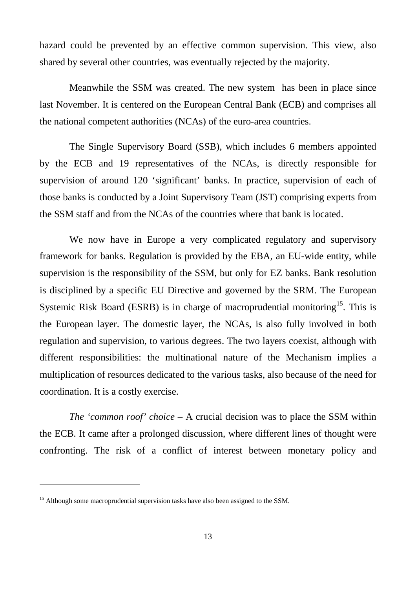hazard could be prevented by an effective common supervision. This view, also shared by several other countries, was eventually rejected by the majority.

Meanwhile the SSM was created. The new system has been in place since last November. It is centered on the European Central Bank (ECB) and comprises all the national competent authorities (NCAs) of the euro-area countries.

The Single Supervisory Board (SSB), which includes 6 members appointed by the ECB and 19 representatives of the NCAs, is directly responsible for supervision of around 120 'significant' banks. In practice, supervision of each of those banks is conducted by a Joint Supervisory Team (JST) comprising experts from the SSM staff and from the NCAs of the countries where that bank is located.

We now have in Europe a very complicated regulatory and supervisory framework for banks. Regulation is provided by the EBA, an EU-wide entity, while supervision is the responsibility of the SSM, but only for EZ banks. Bank resolution is disciplined by a specific EU Directive and governed by the SRM. The European Systemic Risk Board (ESRB) is in charge of macroprudential monitoring<sup>15</sup>. This is the European layer. The domestic layer, the NCAs, is also fully involved in both regulation and supervision, to various degrees. The two layers coexist, although with different responsibilities: the multinational nature of the Mechanism implies a multiplication of resources dedicated to the various tasks, also because of the need for coordination. It is a costly exercise.

*The 'common roof' choice* – A crucial decision was to place the SSM within the ECB. It came after a prolonged discussion, where different lines of thought were confronting. The risk of a conflict of interest between monetary policy and

<span id="page-12-0"></span><sup>&</sup>lt;sup>15</sup> Although some macroprudential supervision tasks have also been assigned to the SSM.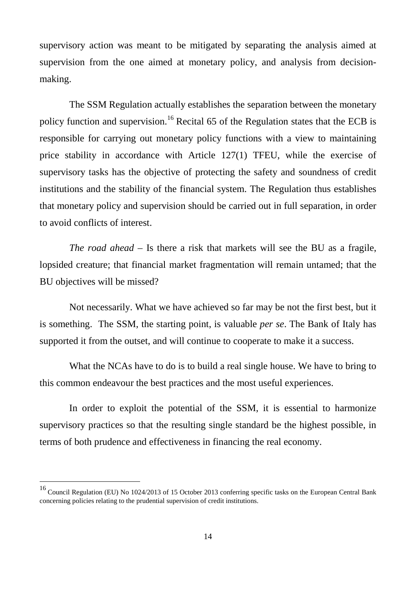supervisory action was meant to be mitigated by separating the analysis aimed at supervision from the one aimed at monetary policy, and analysis from decisionmaking.

The SSM Regulation actually establishes the separation between the monetary policy function and supervision.<sup>[16](#page-13-0)</sup> Recital 65 of the Regulation states that the ECB is responsible for carrying out monetary policy functions with a view to maintaining price stability in accordance with Article 127(1) TFEU, while the exercise of supervisory tasks has the objective of protecting the safety and soundness of credit institutions and the stability of the financial system. The Regulation thus establishes that monetary policy and supervision should be carried out in full separation, in order to avoid conflicts of interest.

*The road ahead –* Is there a risk that markets will see the BU as a fragile, lopsided creature; that financial market fragmentation will remain untamed; that the BU objectives will be missed?

Not necessarily. What we have achieved so far may be not the first best, but it is something. The SSM, the starting point, is valuable *per se*. The Bank of Italy has supported it from the outset, and will continue to cooperate to make it a success.

What the NCAs have to do is to build a real single house. We have to bring to this common endeavour the best practices and the most useful experiences.

In order to exploit the potential of the SSM, it is essential to harmonize supervisory practices so that the resulting single standard be the highest possible, in terms of both prudence and effectiveness in financing the real economy.

<span id="page-13-0"></span><sup>&</sup>lt;sup>16</sup> Council Regulation (EU) No 1024/2013 of 15 October 2013 conferring specific tasks on the European Central Bank concerning policies relating to the prudential supervision of credit institutions.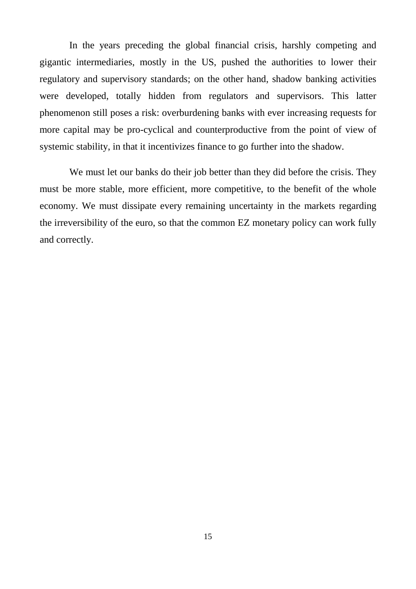In the years preceding the global financial crisis, harshly competing and gigantic intermediaries, mostly in the US, pushed the authorities to lower their regulatory and supervisory standards; on the other hand, shadow banking activities were developed, totally hidden from regulators and supervisors. This latter phenomenon still poses a risk: overburdening banks with ever increasing requests for more capital may be pro-cyclical and counterproductive from the point of view of systemic stability, in that it incentivizes finance to go further into the shadow.

We must let our banks do their job better than they did before the crisis. They must be more stable, more efficient, more competitive, to the benefit of the whole economy. We must dissipate every remaining uncertainty in the markets regarding the irreversibility of the euro, so that the common EZ monetary policy can work fully and correctly.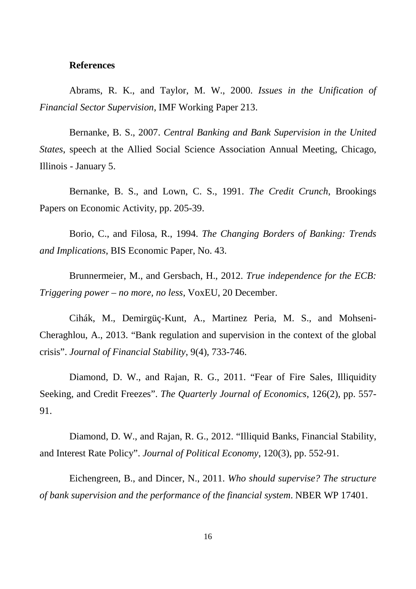#### **References**

Abrams, R. K., and Taylor, M. W., 2000. *Issues in the Unification of Financial Sector Supervision*, IMF Working Paper 213.

Bernanke, B. S., 2007. *Central Banking and Bank Supervision in the United States*, speech at the Allied Social Science Association Annual Meeting, Chicago, Illinois - January 5.

Bernanke, B. S., and Lown, C. S., 1991. *The Credit Crunch*, Brookings Papers on Economic Activity, pp. 205-39.

Borio, C., and Filosa, R., 1994. *The Changing Borders of Banking: Trends and Implications*, BIS Economic Paper, No. 43.

Brunnermeier, M., and Gersbach, H., 2012. *True independence for the ECB: Triggering power – no more, no less*, VoxEU, 20 December.

Cihák, M., Demirgüç-Kunt, A., Martinez Peria, M. S., and Mohseni-Cheraghlou, A., 2013. "Bank regulation and supervision in the context of the global crisis". *Journal of Financial Stability*, 9(4), 733-746.

Diamond, D. W., and Rajan, R. G., 2011. "Fear of Fire Sales, Illiquidity Seeking, and Credit Freezes". *The Quarterly Journal of Economics*, 126(2), pp. 557- 91.

Diamond, D. W., and Rajan, R. G., 2012. "Illiquid Banks, Financial Stability, and Interest Rate Policy". *Journal of Political Economy*, 120(3), pp. 552-91.

Eichengreen, B., and Dincer, N., 2011. *Who should supervise? The structure of bank supervision and the performance of the financial system*. NBER WP 17401.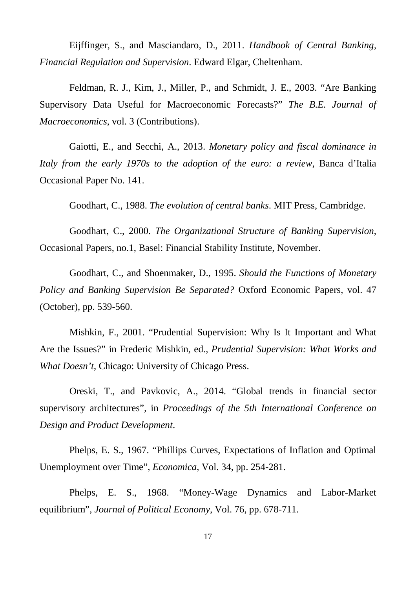Eijffinger, S., and Masciandaro, D., 2011. *Handbook of Central Banking, Financial Regulation and Supervision*. Edward Elgar, Cheltenham.

Feldman, R. J., Kim, J., Miller, P., and Schmidt, J. E., 2003. "Are Banking Supervisory Data Useful for Macroeconomic Forecasts?" *The B.E. Journal of Macroeconomics*, vol. 3 (Contributions).

Gaiotti, E., and Secchi, A., 2013. *Monetary policy and fiscal dominance in Italy from the early 1970s to the adoption of the euro: a review*, Banca d'Italia Occasional Paper No. 141.

Goodhart, C., 1988. *The evolution of central banks*. MIT Press, Cambridge.

Goodhart, C., 2000. *The Organizational Structure of Banking Supervision*, Occasional Papers, no.1, Basel: Financial Stability Institute, November.

Goodhart, C., and Shoenmaker, D., 1995. *Should the Functions of Monetary Policy and Banking Supervision Be Separated?* Oxford Economic Papers, vol. 47 (October), pp. 539-560.

Mishkin, F., 2001. "Prudential Supervision: Why Is It Important and What Are the Issues?" in Frederic Mishkin, ed., *Prudential Supervision: What Works and What Doesn't*, Chicago: University of Chicago Press.

Oreski, T., and Pavkovic, A., 2014. "Global trends in financial sector supervisory architectures", in *Proceedings of the 5th International Conference on Design and Product Development*.

Phelps, E. S., 1967. "Phillips Curves, Expectations of Inflation and Optimal Unemployment over Time", *Economica*, Vol. 34, pp. 254-281.

Phelps, E. S., 1968. "Money-Wage Dynamics and Labor-Market equilibrium", *Journal of Political Economy*, Vol. 76, pp. 678-711.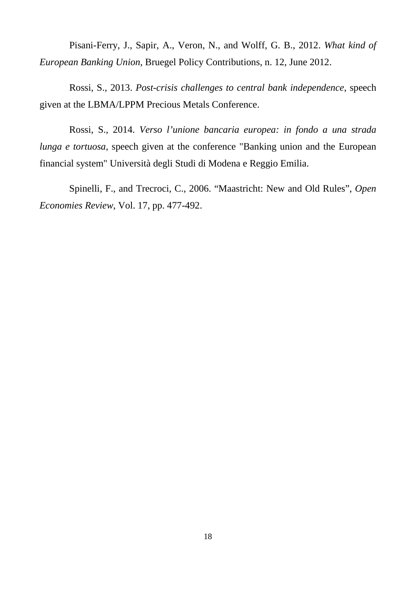Pisani-Ferry, J., Sapir, A., Veron, N., and Wolff, G. B., 2012. *What kind of European Banking Union*, Bruegel Policy Contributions, n. 12, June 2012.

Rossi, S., 2013. *Post-crisis challenges to central bank independence*, speech given at the LBMA/LPPM Precious Metals Conference.

Rossi, S., 2014. *Verso l'unione bancaria europea: in fondo a una strada lunga e tortuosa*, speech given at the conference "Banking union and the European financial system" Università degli Studi di Modena e Reggio Emilia.

Spinelli, F., and Trecroci, C., 2006. "Maastricht: New and Old Rules", *Open Economies Review*, Vol. 17, pp. 477-492.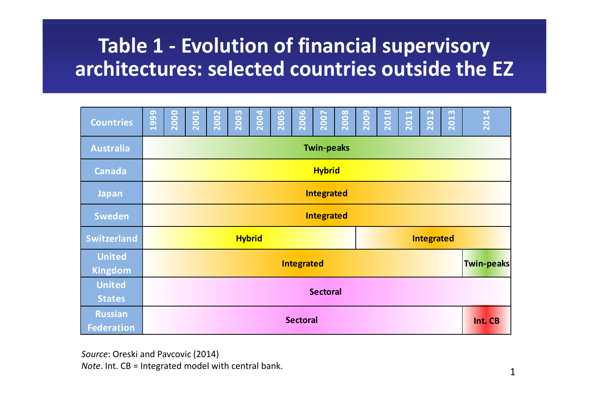# **Table 1 - Evolution of financial supervisory architectures: selected countries outside the EZ**

| <b>Countries</b>                    | മ<br>199          | 2000            | 2001 | 2002 | 2003 | 2004 | LO<br>200 | 2006 | <b>2007</b> | 2008 | 2009 | 2010 | 2011              | 2012       | 2013 | 2014 |  |  |
|-------------------------------------|-------------------|-----------------|------|------|------|------|-----------|------|-------------|------|------|------|-------------------|------------|------|------|--|--|
| <b>Australia</b>                    | <b>Twin-peaks</b> |                 |      |      |      |      |           |      |             |      |      |      |                   |            |      |      |  |  |
| <b>Canada</b>                       | <b>Hybrid</b>     |                 |      |      |      |      |           |      |             |      |      |      |                   |            |      |      |  |  |
| <b>Japan</b>                        | <b>Integrated</b> |                 |      |      |      |      |           |      |             |      |      |      |                   |            |      |      |  |  |
| <b>Sweden</b>                       | <b>Integrated</b> |                 |      |      |      |      |           |      |             |      |      |      |                   |            |      |      |  |  |
| <b>Switzerland</b>                  | <b>Hybrid</b>     |                 |      |      |      |      |           |      |             |      |      |      |                   | Integrated |      |      |  |  |
| <b>United</b><br><b>Kingdom</b>     | <b>Integrated</b> |                 |      |      |      |      |           |      |             |      |      |      | <b>Twin-peaks</b> |            |      |      |  |  |
| <b>United</b><br><b>States</b>      |                   | <b>Sectoral</b> |      |      |      |      |           |      |             |      |      |      |                   |            |      |      |  |  |
| <b>Russian</b><br><b>Federation</b> | <b>Sectoral</b>   |                 |      |      |      |      |           |      |             |      |      |      |                   | Int. CB    |      |      |  |  |

*Source*: Oreski and Pavcovic (2014)

*Note*. Int. CB <sup>=</sup> Integrated model with central bank.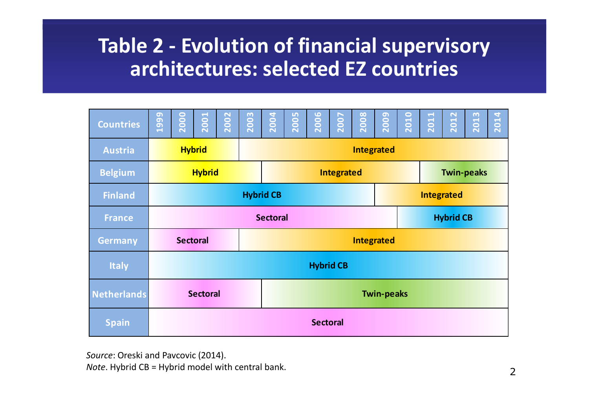## **Table 2 - Evolution of financial supervisory architectures: selected EZ countries**

| <b>Countries</b>   | മ<br>$\overline{a}$<br>$\overline{c}$ | 2000            | $\overline{\phantom{0}}$<br>200 | $\mathbf{\mathbf{N}}$<br>200 | $\mathbf{\omega}$<br>$\bullet$<br>$\overline{20}$ | $\overline{a}$<br><b>200</b> | <b>LO</b><br>$\bullet$<br>$\overline{20}$ | $\overline{0}$<br>Ō<br>$\overline{20}$ | ↖<br>$\bullet$<br>$\overline{\mathbf{S}}$ | $\frac{8}{2}$<br>$\overline{\mathbf{S}}$ | ဥ<br>$\overline{20}$ | $\overline{a}$<br>$\overline{20}$ | $\blacktriangleleft$<br>$\overline{\phantom{a}}$<br>$\overline{20}$ | 2 <sub>2</sub><br>$\overline{20}$ | $\boldsymbol{\omega}$<br>201 | 2014 |  |
|--------------------|---------------------------------------|-----------------|---------------------------------|------------------------------|---------------------------------------------------|------------------------------|-------------------------------------------|----------------------------------------|-------------------------------------------|------------------------------------------|----------------------|-----------------------------------|---------------------------------------------------------------------|-----------------------------------|------------------------------|------|--|
| <b>Austria</b>     |                                       | <b>Hybrid</b>   |                                 |                              |                                                   | <b>Integrated</b>            |                                           |                                        |                                           |                                          |                      |                                   |                                                                     |                                   |                              |      |  |
| <b>Belgium</b>     |                                       |                 | <b>Hybrid</b>                   |                              |                                                   |                              |                                           | Integrated                             | <b>Twin-peaks</b>                         |                                          |                      |                                   |                                                                     |                                   |                              |      |  |
| <b>Finland</b>     | <b>Hybrid CB</b><br><b>Integrated</b> |                 |                                 |                              |                                                   |                              |                                           |                                        |                                           |                                          |                      |                                   |                                                                     |                                   |                              |      |  |
| <b>France</b>      | <b>Hybrid CB</b><br><b>Sectoral</b>   |                 |                                 |                              |                                                   |                              |                                           |                                        |                                           |                                          |                      |                                   |                                                                     |                                   |                              |      |  |
| <b>Germany</b>     | <b>Sectoral</b><br><b>Integrated</b>  |                 |                                 |                              |                                                   |                              |                                           |                                        |                                           |                                          |                      |                                   |                                                                     |                                   |                              |      |  |
| <b>Italy</b>       | <b>Hybrid CB</b>                      |                 |                                 |                              |                                                   |                              |                                           |                                        |                                           |                                          |                      |                                   |                                                                     |                                   |                              |      |  |
| <b>Netherlands</b> | <b>Sectoral</b><br><b>Twin-peaks</b>  |                 |                                 |                              |                                                   |                              |                                           |                                        |                                           |                                          |                      |                                   |                                                                     |                                   |                              |      |  |
| <b>Spain</b>       |                                       | <b>Sectoral</b> |                                 |                              |                                                   |                              |                                           |                                        |                                           |                                          |                      |                                   |                                                                     |                                   |                              |      |  |

*Source*: Oreski and Pavcovic (2014).

*Note*. Hybrid CB <sup>=</sup> Hybrid model with central bank.